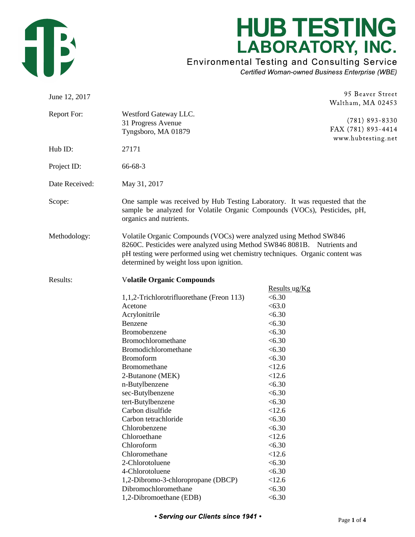

## **HUB TESTING** LABORATORY, INC.

**Environmental Testing and Consulting Service** 

Certified Woman-owned Business Enterprise (WBE)

| June 12, 2017  |                                                                                                                                                                                                                                                                                                                                                                                                                                                           |                                                                                                                                                                                                                                           | 95 Beaver Street                                             |
|----------------|-----------------------------------------------------------------------------------------------------------------------------------------------------------------------------------------------------------------------------------------------------------------------------------------------------------------------------------------------------------------------------------------------------------------------------------------------------------|-------------------------------------------------------------------------------------------------------------------------------------------------------------------------------------------------------------------------------------------|--------------------------------------------------------------|
|                |                                                                                                                                                                                                                                                                                                                                                                                                                                                           |                                                                                                                                                                                                                                           | Waltham, MA 02453                                            |
| Report For:    | Westford Gateway LLC.<br>31 Progress Avenue<br>Tyngsboro, MA 01879                                                                                                                                                                                                                                                                                                                                                                                        |                                                                                                                                                                                                                                           | $(781)$ 893-8330<br>FAX (781) 893-4414<br>www.hubtesting.net |
| Hub ID:        | 27171                                                                                                                                                                                                                                                                                                                                                                                                                                                     |                                                                                                                                                                                                                                           |                                                              |
| Project ID:    | 66-68-3                                                                                                                                                                                                                                                                                                                                                                                                                                                   |                                                                                                                                                                                                                                           |                                                              |
| Date Received: | May 31, 2017                                                                                                                                                                                                                                                                                                                                                                                                                                              |                                                                                                                                                                                                                                           |                                                              |
| Scope:         | One sample was received by Hub Testing Laboratory. It was requested that the<br>sample be analyzed for Volatile Organic Compounds (VOCs), Pesticides, pH,<br>organics and nutrients.                                                                                                                                                                                                                                                                      |                                                                                                                                                                                                                                           |                                                              |
| Methodology:   | Volatile Organic Compounds (VOCs) were analyzed using Method SW846<br>8260C. Pesticides were analyzed using Method SW846 8081B. Nutrients and<br>pH testing were performed using wet chemistry techniques. Organic content was<br>determined by weight loss upon ignition.                                                                                                                                                                                |                                                                                                                                                                                                                                           |                                                              |
| Results:       | <b>Volatile Organic Compounds</b>                                                                                                                                                                                                                                                                                                                                                                                                                         |                                                                                                                                                                                                                                           |                                                              |
|                | 1,1,2-Trichlorotrifluorethane (Freon 113)<br>Acetone<br>Acrylonitrile<br>Benzene<br>Bromobenzene<br>Bromochloromethane<br>Bromodichloromethane<br><b>Bromoform</b><br>Bromomethane<br>2-Butanone (MEK)<br>n-Butylbenzene<br>sec-Butylbenzene<br>tert-Butylbenzene<br>Carbon disulfide<br>Carbon tetrachloride<br>Chlorobenzene<br>Chloroethane<br>Chloroform<br>Chloromethane<br>2-Chlorotoluene<br>4-Chlorotoluene<br>1,2-Dibromo-3-chloropropane (DBCP) | Results ug/Kg<br>< 6.30<br>< 63.0<br>< 6.30<br>< 6.30<br>< 6.30<br>< 6.30<br>< 6.30<br>< 6.30<br>< 12.6<br>< 12.6<br>< 6.30<br>< 6.30<br>< 6.30<br>< 12.6<br>< 6.30<br>< 6.30<br>< 12.6<br>< 6.30<br>< 12.6<br>< 6.30<br>< 6.30<br>< 12.6 |                                                              |
|                | Dibromochloromethane<br>1,2-Dibromoethane (EDB)                                                                                                                                                                                                                                                                                                                                                                                                           | < 6.30<br>< 6.30                                                                                                                                                                                                                          |                                                              |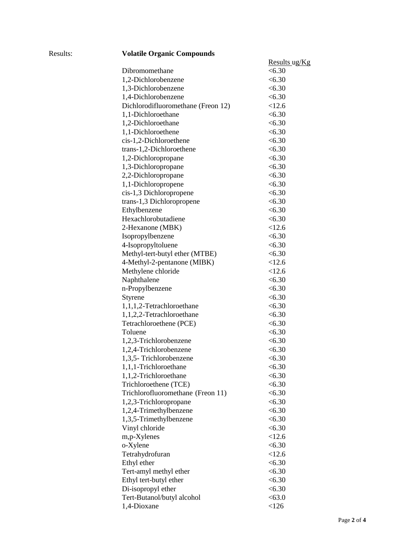| volatile Organic Compounds         |                         |
|------------------------------------|-------------------------|
|                                    | <u>Results</u> ug/ $Kg$ |
| Dibromomethane                     | <6.30                   |
| 1,2-Dichlorobenzene                | < 6.30                  |
| 1,3-Dichlorobenzene                | < 6.30                  |
| 1,4-Dichlorobenzene                | < 6.30                  |
| Dichlorodifluoromethane (Freon 12) | < 12.6                  |
| 1,1-Dichloroethane                 | < 6.30                  |
| 1,2-Dichloroethane                 | < 6.30                  |
| 1,1-Dichloroethene                 | < 6.30                  |
| cis-1,2-Dichloroethene             | < 6.30                  |
| trans-1,2-Dichloroethene           | < 6.30                  |
| 1,2-Dichloropropane                | < 6.30                  |
| 1,3-Dichloropropane                | < 6.30                  |
| 2,2-Dichloropropane                | < 6.30                  |
| 1,1-Dichloropropene                | < 6.30                  |
| cis-1,3 Dichloropropene            | < 6.30                  |
| trans-1,3 Dichloropropene          | < 6.30                  |
| Ethylbenzene                       | <6.30                   |
| Hexachlorobutadiene                | <6.30                   |
| 2-Hexanone (MBK)                   | < 12.6                  |
| Isopropylbenzene                   | < 6.30                  |
| 4-Isopropyltoluene                 | < 6.30                  |
| Methyl-tert-butyl ether (MTBE)     | < 6.30                  |
| 4-Methyl-2-pentanone (MIBK)        | < 12.6                  |
| Methylene chloride                 | < 12.6                  |
| Naphthalene                        | < 6.30                  |
| n-Propylbenzene                    | < 6.30                  |
| Styrene                            | < 6.30                  |
| 1,1,1,2-Tetrachloroethane          | < 6.30                  |
| 1,1,2,2-Tetrachloroethane          | < 6.30                  |
| Tetrachloroethene (PCE)            | < 6.30                  |
| Toluene                            | < 6.30                  |
| 1,2,3-Trichlorobenzene             | < 6.30                  |
| 1,2,4-Trichlorobenzene             | < 6.30                  |
| 1,3,5- Trichlorobenzene            | < 6.30                  |
| 1,1,1-Trichloroethane              | < 6.30                  |
| 1,1,2-Trichloroethane              | < 6.30                  |
| Trichloroethene (TCE)              | < 6.30                  |
| Trichlorofluoromethane (Freon 11)  | < 6.30                  |
| 1,2,3-Trichloropropane             | < 6.30                  |
| 1,2,4-Trimethylbenzene             | <6.30                   |
| 1,3,5-Trimethylbenzene             | < 6.30                  |
| Vinyl chloride                     | < 6.30                  |
| m,p-Xylenes                        | < 12.6                  |
| o-Xylene                           | < 6.30                  |
| Tetrahydrofuran                    | < 12.6                  |
| Ethyl ether                        | < 6.30                  |
| Tert-amyl methyl ether             | < 6.30                  |
| Ethyl tert-butyl ether             | < 6.30                  |
| Di-isopropyl ether                 | < 6.30                  |
| Tert-Butanol/butyl alcohol         | < 63.0                  |
|                                    |                         |
| 1,4-Dioxane                        | < 126                   |

## Results: **Volatile Organic Compounds**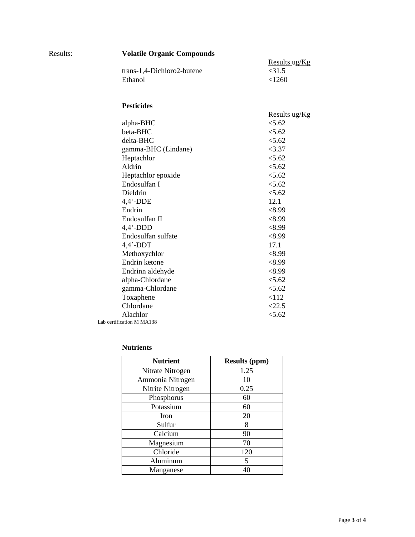| <b>Volatile Organic Compounds</b>                                                                                                                                                                                                 |                                                                                                                                                                      |
|-----------------------------------------------------------------------------------------------------------------------------------------------------------------------------------------------------------------------------------|----------------------------------------------------------------------------------------------------------------------------------------------------------------------|
| trans-1,4-Dichloro2-butene<br>Ethanol                                                                                                                                                                                             | Results ug/Kg<br>$<$ 31.5<br>< 1260                                                                                                                                  |
| <b>Pesticides</b>                                                                                                                                                                                                                 |                                                                                                                                                                      |
| alpha-BHC<br>beta-BHC<br>delta-BHC<br>gamma-BHC (Lindane)<br>Heptachlor<br>Aldrin<br>Heptachlor epoxide<br>Endosulfan I<br>Dieldrin<br>$4,4'$ -DDE<br>Endrin<br>Endosulfan II<br>$4,4'$ -DDD<br>Endosulfan sulfate<br>$4,4'$ -DDT | <u>Results ug/Kg</u><br>< 5.62<br>< 5.62<br>< 5.62<br>< 3.37<br>< 5.62<br>< 5.62<br>< 5.62<br>5.62<br>< 5.62<br>12.1<br>< 8.99<br>< 8.99<br>< 8.99<br>< 8.99<br>17.1 |
| Methoxychlor<br>Endrin ketone<br>Endrinn aldehyde<br>alpha-Chlordane<br>gamma-Chlordane<br>Toxaphene                                                                                                                              | < 8.99<br><8.99<br>< 8.99<br>< 5.62<br>< 5.62<br>< 112                                                                                                               |
| Chlordane<br>Alachlor<br>Lab certification M MA138                                                                                                                                                                                | <22.5<br>< 5.62                                                                                                                                                      |

## **Nutrients**

Results:

| <b>Nutrient</b>  | <b>Results (ppm)</b> |
|------------------|----------------------|
| Nitrate Nitrogen | 1.25                 |
| Ammonia Nitrogen | 10                   |
| Nitrite Nitrogen | 0.25                 |
| Phosphorus       | 60                   |
| Potassium        | 60                   |
| <b>Iron</b>      | 20                   |
| Sulfur           | 8                    |
| Calcium          | 90                   |
| Magnesium        | 70                   |
| Chloride         | 120                  |
| Aluminum         | 5                    |
| Manganese        | 40                   |